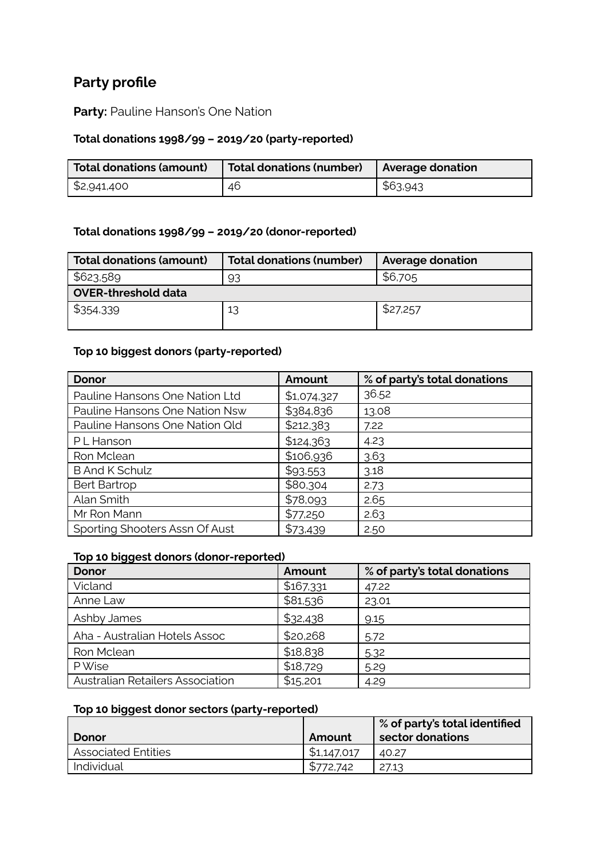# **Party profile**

**Party:** Pauline Hanson's One Nation

#### **Total donations 1998/99 – 2019/20 (party-reported)**

| Total donations (amount) | Total donations (number) | Average donation |
|--------------------------|--------------------------|------------------|
| \$2,941,400              | 46                       | \$63,943         |

### **Total donations 1998/99 – 2019/20 (donor-reported)**

| <b>Total donations (amount)</b> | <b>Total donations (number)</b> | <b>Average donation</b> |  |  |
|---------------------------------|---------------------------------|-------------------------|--|--|
| \$623,589                       | 93                              | \$6,705                 |  |  |
| <b>OVER-threshold data</b>      |                                 |                         |  |  |
| \$354,339                       | 13                              | \$27,257                |  |  |

#### **Top 10 biggest donors (party-reported)**

| Donor                          | Amount      | % of party's total donations |
|--------------------------------|-------------|------------------------------|
| Pauline Hansons One Nation Ltd | \$1,074,327 | 36.52                        |
| Pauline Hansons One Nation Nsw | \$384,836   | 13.08                        |
| Pauline Hansons One Nation Qld | \$212,383   | 7.22                         |
| P L Hanson                     | \$124,363   | 4.23                         |
| Ron Mclean                     | \$106,936   | 3.63                         |
| <b>B And K Schulz</b>          | \$93,553    | 3.18                         |
| <b>Bert Bartrop</b>            | \$80,304    | 2.73                         |
| Alan Smith                     | \$78,093    | 2.65                         |
| Mr Ron Mann                    | \$77,250    | 2.63                         |
| Sporting Shooters Assn Of Aust | \$73,439    | 2.50                         |

#### **Top 10 biggest donors (donor-reported)**

| <b>Donor</b>                            | Amount    | % of party's total donations |
|-----------------------------------------|-----------|------------------------------|
| Vicland                                 | \$167,331 | 47.22                        |
| Anne Law                                | \$81,536  | 23.01                        |
| Ashby James                             | \$32,438  | 9.15                         |
| Aha - Australian Hotels Assoc           | \$20,268  | 5.72                         |
| Ron Mclean                              | \$18,838  | 5.32                         |
| P Wise                                  | \$18,729  | 5.29                         |
| <b>Australian Retailers Association</b> | \$15,201  | 4.29                         |

#### **Top 10 biggest donor sectors (party-reported)**

|                            |             | $\frac{1}{2}$ % of party's total identified |
|----------------------------|-------------|---------------------------------------------|
| Donor                      | Amount      | sector donations                            |
| <b>Associated Entities</b> | \$1,147,017 | 40.27                                       |
| Individual                 | \$772.742   | 27.13                                       |